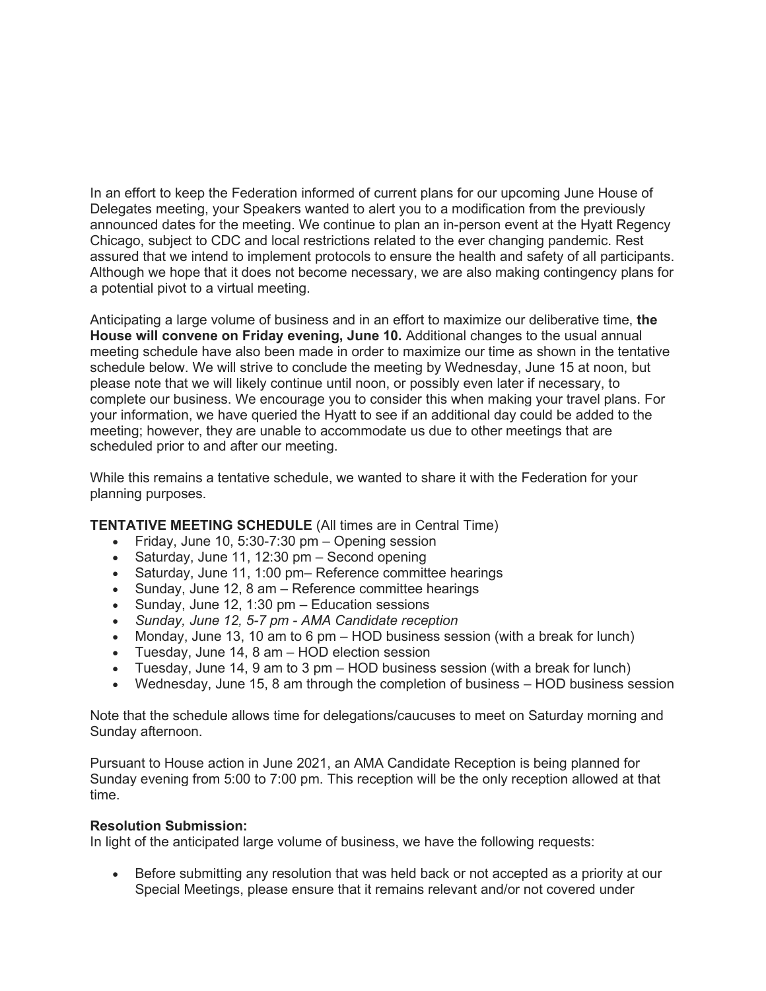In an effort to keep the Federation informed of current plans for our upcoming June House of Delegates meeting, your Speakers wanted to alert you to a modification from the previously announced dates for the meeting. We continue to plan an in-person event at the Hyatt Regency Chicago, subject to CDC and local restrictions related to the ever changing pandemic. Rest assured that we intend to implement protocols to ensure the health and safety of all participants. Although we hope that it does not become necessary, we are also making contingency plans for a potential pivot to a virtual meeting.

Anticipating a large volume of business and in an effort to maximize our deliberative time, **the House will convene on Friday evening, June 10.** Additional changes to the usual annual meeting schedule have also been made in order to maximize our time as shown in the tentative schedule below. We will strive to conclude the meeting by Wednesday, June 15 at noon, but please note that we will likely continue until noon, or possibly even later if necessary, to complete our business. We encourage you to consider this when making your travel plans. For your information, we have queried the Hyatt to see if an additional day could be added to the meeting; however, they are unable to accommodate us due to other meetings that are scheduled prior to and after our meeting.

While this remains a tentative schedule, we wanted to share it with the Federation for your planning purposes.

# **TENTATIVE MEETING SCHEDULE** (All times are in Central Time)

- Friday, June 10, 5:30-7:30  $pm -$  Opening session
- Saturday, June 11, 12:30 pm Second opening
- Saturday, June 11, 1:00 pm– Reference committee hearings
- Sunday, June 12, 8 am Reference committee hearings
- Sunday, June 12, 1:30 pm Education sessions
- *Sunday, June 12, 5-7 pm AMA Candidate reception*
- Monday, June 13, 10 am to 6 pm HOD business session (with a break for lunch)
- Tuesday, June 14, 8 am HOD election session
- Tuesday, June 14, 9 am to 3 pm HOD business session (with a break for lunch)
- Wednesday, June 15, 8 am through the completion of business HOD business session

Note that the schedule allows time for delegations/caucuses to meet on Saturday morning and Sunday afternoon.

Pursuant to House action in June 2021, an AMA Candidate Reception is being planned for Sunday evening from 5:00 to 7:00 pm. This reception will be the only reception allowed at that time.

## **Resolution Submission:**

In light of the anticipated large volume of business, we have the following requests:

• Before submitting any resolution that was held back or not accepted as a priority at our Special Meetings, please ensure that it remains relevant and/or not covered under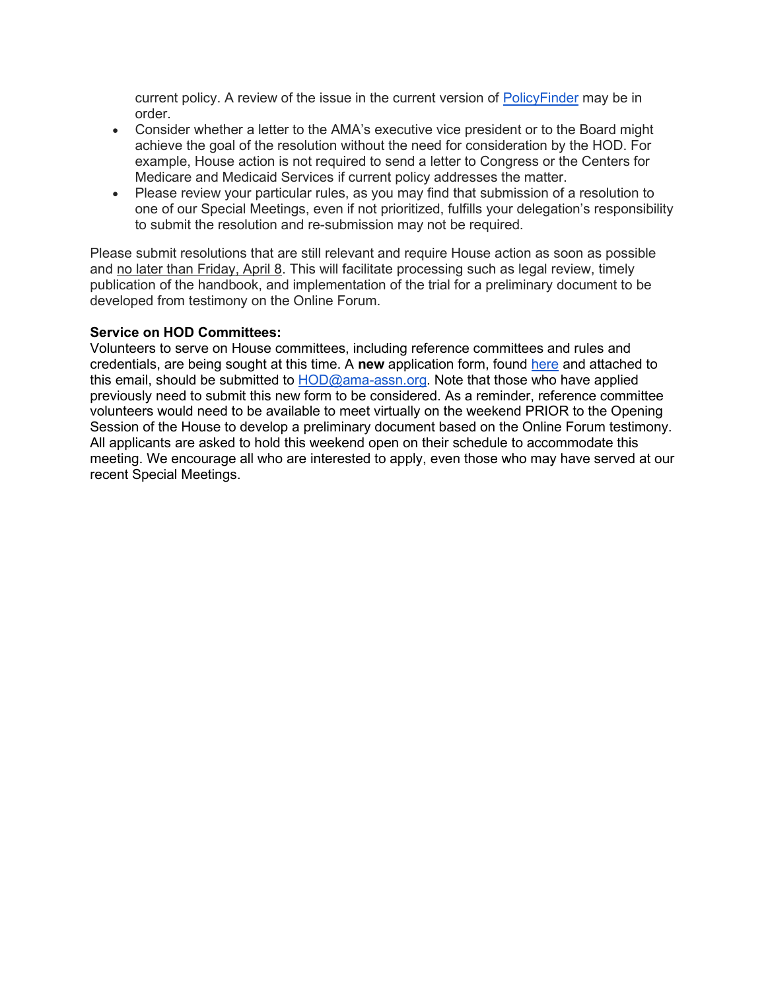current policy. A review of the issue in the current version of [PolicyFinder](https://policysearch.ama-assn.org/) may be in order.

- Consider whether a letter to the AMA's executive vice president or to the Board might achieve the goal of the resolution without the need for consideration by the HOD. For example, House action is not required to send a letter to Congress or the Centers for Medicare and Medicaid Services if current policy addresses the matter.
- Please review your particular rules, as you may find that submission of a resolution to one of our Special Meetings, even if not prioritized, fulfills your delegation's responsibility to submit the resolution and re-submission may not be required.

Please submit resolutions that are still relevant and require House action as soon as possible and no later than Friday, April 8. This will facilitate processing such as legal review, timely publication of the handbook, and implementation of the trial for a preliminary document to be developed from testimony on the Online Forum.

## **Service on HOD Committees:**

Volunteers to serve on House committees, including reference committees and rules and credentials, are being sought at this time. A **new** application form, found [here](https://www.ama-assn.org/house-delegates/hod-organization/hod-speakers-info-reference-committee-service-and-reports-member) and attached to this email, should be submitted to [HOD@ama-assn.org.](mailto:HOD@ama-assn.org) Note that those who have applied previously need to submit this new form to be considered. As a reminder, reference committee volunteers would need to be available to meet virtually on the weekend PRIOR to the Opening Session of the House to develop a preliminary document based on the Online Forum testimony. All applicants are asked to hold this weekend open on their schedule to accommodate this meeting. We encourage all who are interested to apply, even those who may have served at our recent Special Meetings.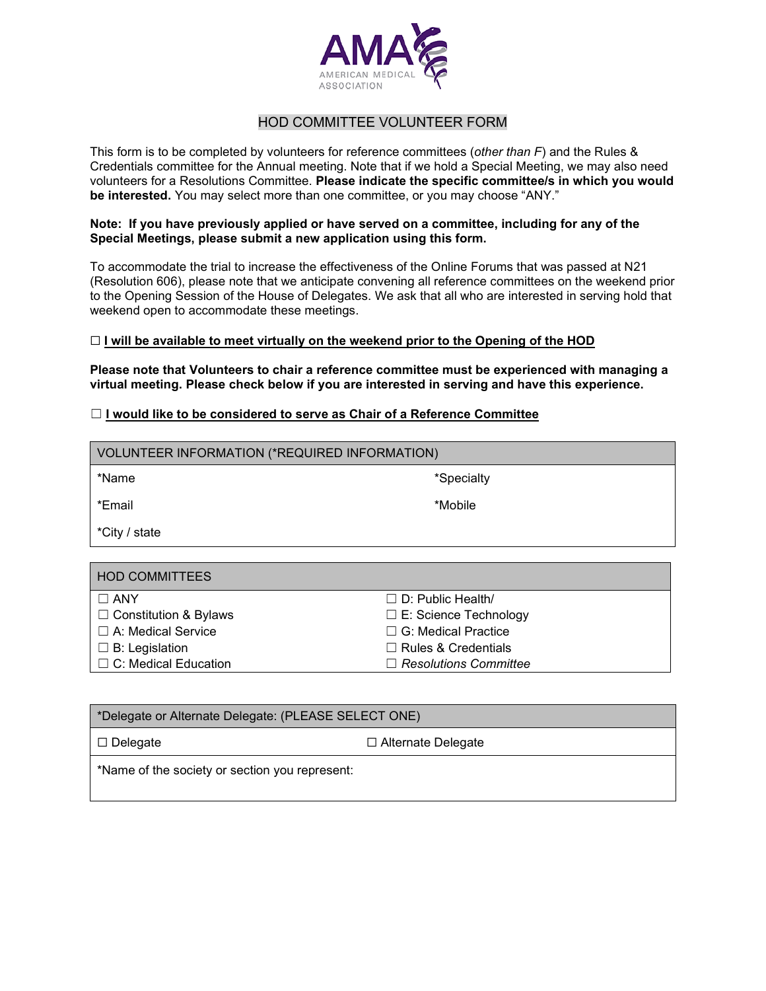

## HOD COMMITTEE VOLUNTEER FORM

This form is to be completed by volunteers for reference committees (*other than F*) and the Rules & Credentials committee for the Annual meeting. Note that if we hold a Special Meeting, we may also need volunteers for a Resolutions Committee. **Please indicate the specific committee/s in which you would be interested.** You may select more than one committee, or you may choose "ANY."

#### **Note: If you have previously applied or have served on a committee, including for any of the Special Meetings, please submit a new application using this form.**

To accommodate the trial to increase the effectiveness of the Online Forums that was passed at N21 (Resolution 606), please note that we anticipate convening all reference committees on the weekend prior to the Opening Session of the House of Delegates. We ask that all who are interested in serving hold that weekend open to accommodate these meetings.

### ☐ **I will be available to meet virtually on the weekend prior to the Opening of the HOD**

**Please note that Volunteers to chair a reference committee must be experienced with managing a virtual meeting. Please check below if you are interested in serving and have this experience.**

## ☐ **I would like to be considered to serve as Chair of a Reference Committee**

| VOLUNTEER INFORMATION (*REQUIRED INFORMATION) |                              |  |
|-----------------------------------------------|------------------------------|--|
| *Name                                         | *Specialty                   |  |
| *Email                                        | *Mobile                      |  |
| *City / state                                 |                              |  |
|                                               |                              |  |
| <b>HOD COMMITTEES</b>                         |                              |  |
| $\Box$ ANY                                    | $\Box$ D: Public Health/     |  |
| $\Box$ Constitution & Bylaws                  | $\Box$ E: Science Technology |  |
| $\Box$ A: Medical Service                     | $\Box$ G: Medical Practice   |  |

☐ Rules & Credentials ☐ *Resolutions Committee*

- $\Box$  B: Legislation
- ☐ C: Medical Education

| *Delegate or Alternate Delegate: (PLEASE SELECT ONE) |                           |  |
|------------------------------------------------------|---------------------------|--|
| □ Delegate                                           | $\Box$ Alternate Delegate |  |
| *Name of the society or section you represent:       |                           |  |